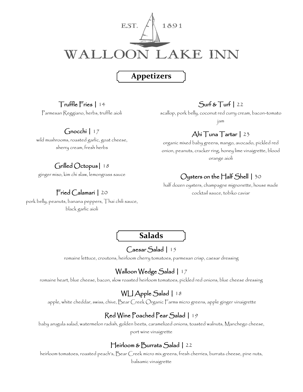

# **Appetizers**

### Truffle Fries | 14

Parmesan Reggiano, herbs, truffle aioli

### Gnocchi | 17

wild mushrooms, roasted garlic, goat cheese, sherry cream, fresh herbs

# Grilled Octopus| 18

ginger miso, kim chi slaw, lemongrass sauce

## Fried Calamari | 20

pork belly, peanuts, banana peppers, Thai chili sauce, black garlic aioli

### $Surf & Turf \mid 22$

scallop, pork belly, coconut red curry cream, bacon-tomato

jam

# Ahi Tuna Tartar | 23

organic mixed baby greens, mango, avocado, pickled red onion, peanuts, cracker ring, honey lime vinaigrette, blood orange aioli

# Oysters on the Half Shell | 30

half dozen oysters, champagne mignonette, house made cocktail sauce, tobiko caviar

**Salads**

## Caesar Salad | 15

romaine lettuce, croutons, heirloom cherry tomatoes, parmesan crisp, caesar dressing

# Walloon Wedge Salad | 17

romaine heart, blue cheese, bacon, slow roasted heirloom tomatoes, pickled red onions, blue cheese dressing

## WLI Apple Salad | 18

apple, white cheddar, swiss, chive, Bear Creek Organic Farms micro greens, apple ginger vinaigrette

# Red Wine Poached Pear Salad | 19

baby arugula salad, watermelon radish, golden beets, caramelized onions, toasted walnuts, Manchego cheese, port wine vinaigrette

## Heirloom & Burrata Salad | 22

heirloom tomatoes, roasted peach's, Bear Creek micro mix greens, fresh cherries, burrata cheese, pine nuts, balsamic vinaigrette